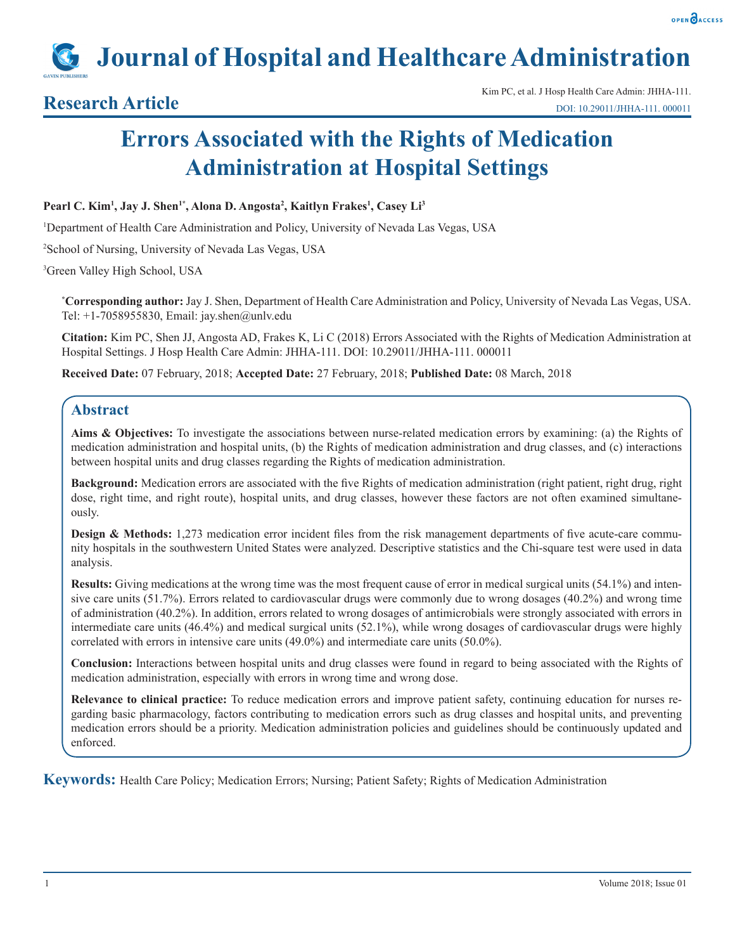# **Journal of Hospital and Healthcare Administration**

# **Errors Associated with the Rights of Medication Administration at Hospital Settings**

# Pearl C. Kim<sup>1</sup>, Jay J. Shen<sup>1\*</sup>, Alona D. Angosta<sup>2</sup>, Kaitlyn Frakes<sup>1</sup>, Casey Li<sup>3</sup>

1 Department of Health Care Administration and Policy, University of Nevada Las Vegas, USA

2 School of Nursing, University of Nevada Las Vegas, USA

3 Green Valley High School, USA

**\* Corresponding author:** Jay J. Shen, Department of Health Care Administration and Policy, University of Nevada Las Vegas, USA. Tel: +1-7058955830, Email: jay.shen@unlv.edu

**Citation:** Kim PC, Shen JJ, Angosta AD, Frakes K, Li C (2018) Errors Associated with the Rights of Medication Administration at Hospital Settings. J Hosp Health Care Admin: JHHA-111. DOI: 10.29011/JHHA-111. 000011

**Received Date:** 07 February, 2018; **Accepted Date:** 27 February, 2018; **Published Date:** 08 March, 2018

# **Abstract**

**Aims & Objectives:** To investigate the associations between nurse-related medication errors by examining: (a) the Rights of medication administration and hospital units, (b) the Rights of medication administration and drug classes, and (c) interactions between hospital units and drug classes regarding the Rights of medication administration.

**Background:** Medication errors are associated with the five Rights of medication administration (right patient, right drug, right dose, right time, and right route), hospital units, and drug classes, however these factors are not often examined simultaneously.

**Design & Methods:** 1,273 medication error incident files from the risk management departments of five acute-care community hospitals in the southwestern United States were analyzed. Descriptive statistics and the Chi-square test were used in data analysis.

**Results:** Giving medications at the wrong time was the most frequent cause of error in medical surgical units (54.1%) and intensive care units (51.7%). Errors related to cardiovascular drugs were commonly due to wrong dosages (40.2%) and wrong time of administration (40.2%). In addition, errors related to wrong dosages of antimicrobials were strongly associated with errors in intermediate care units (46.4%) and medical surgical units (52.1%), while wrong dosages of cardiovascular drugs were highly correlated with errors in intensive care units (49.0%) and intermediate care units (50.0%).

**Conclusion:** Interactions between hospital units and drug classes were found in regard to being associated with the Rights of medication administration, especially with errors in wrong time and wrong dose.

**Relevance to clinical practice:** To reduce medication errors and improve patient safety, continuing education for nurses regarding basic pharmacology, factors contributing to medication errors such as drug classes and hospital units, and preventing medication errors should be a priority. Medication administration policies and guidelines should be continuously updated and enforced.

**Keywords:** Health Care Policy; Medication Errors; Nursing; Patient Safety; Rights of Medication Administration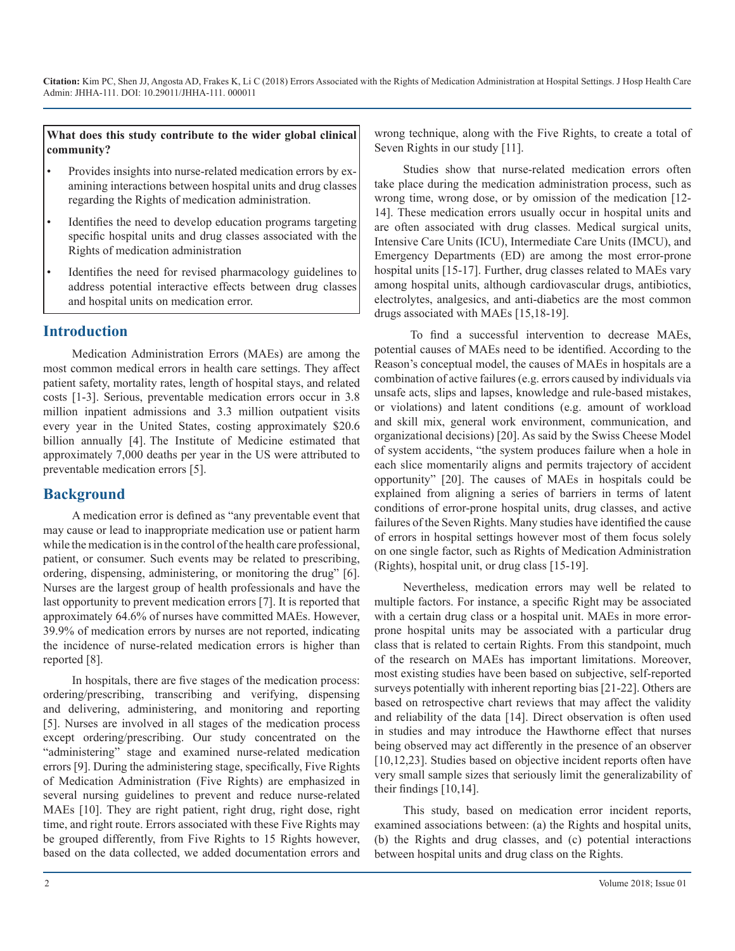**What does this study contribute to the wider global clinical community?**

- Provides insights into nurse-related medication errors by examining interactions between hospital units and drug classes regarding the Rights of medication administration.
- Identifies the need to develop education programs targeting specific hospital units and drug classes associated with the Rights of medication administration
- Identifies the need for revised pharmacology guidelines to address potential interactive effects between drug classes and hospital units on medication error.

# **Introduction**

Medication Administration Errors (MAEs) are among the most common medical errors in health care settings. They affect patient safety, mortality rates, length of hospital stays, and related costs [1-3]. Serious, preventable medication errors occur in 3.8 million inpatient admissions and 3.3 million outpatient visits every year in the United States, costing approximately \$20.6 billion annually [4]. The Institute of Medicine estimated that approximately 7,000 deaths per year in the US were attributed to preventable medication errors [5].

# **Background**

A medication error is defined as "any preventable event that may cause or lead to inappropriate medication use or patient harm while the medication is in the control of the health care professional, patient, or consumer. Such events may be related to prescribing, ordering, dispensing, administering, or monitoring the drug" [6]. Nurses are the largest group of health professionals and have the last opportunity to prevent medication errors [7]. It is reported that approximately 64.6% of nurses have committed MAEs. However, 39.9% of medication errors by nurses are not reported, indicating the incidence of nurse-related medication errors is higher than reported [8].

In hospitals, there are five stages of the medication process: ordering/prescribing, transcribing and verifying, dispensing and delivering, administering, and monitoring and reporting [5]. Nurses are involved in all stages of the medication process except ordering/prescribing. Our study concentrated on the "administering" stage and examined nurse-related medication errors [9]. During the administering stage, specifically, Five Rights of Medication Administration (Five Rights) are emphasized in several nursing guidelines to prevent and reduce nurse-related MAEs [10]. They are right patient, right drug, right dose, right time, and right route. Errors associated with these Five Rights may be grouped differently, from Five Rights to 15 Rights however, based on the data collected, we added documentation errors and wrong technique, along with the Five Rights, to create a total of Seven Rights in our study [11].

Studies show that nurse-related medication errors often take place during the medication administration process, such as wrong time, wrong dose, or by omission of the medication [12- 14]. These medication errors usually occur in hospital units and are often associated with drug classes. Medical surgical units, Intensive Care Units (ICU), Intermediate Care Units (IMCU), and Emergency Departments (ED) are among the most error-prone hospital units [15-17]. Further, drug classes related to MAEs vary among hospital units, although cardiovascular drugs, antibiotics, electrolytes, analgesics, and anti-diabetics are the most common drugs associated with MAEs [15,18-19].

 To find a successful intervention to decrease MAEs, potential causes of MAEs need to be identified. According to the Reason's conceptual model, the causes of MAEs in hospitals are a combination of active failures (e.g. errors caused by individuals via unsafe acts, slips and lapses, knowledge and rule-based mistakes, or violations) and latent conditions (e.g. amount of workload and skill mix, general work environment, communication, and organizational decisions) [20]. As said by the Swiss Cheese Model of system accidents, "the system produces failure when a hole in each slice momentarily aligns and permits trajectory of accident opportunity" [20]. The causes of MAEs in hospitals could be explained from aligning a series of barriers in terms of latent conditions of error-prone hospital units, drug classes, and active failures of the Seven Rights. Many studies have identified the cause of errors in hospital settings however most of them focus solely on one single factor, such as Rights of Medication Administration (Rights), hospital unit, or drug class [15-19].

Nevertheless, medication errors may well be related to multiple factors. For instance, a specific Right may be associated with a certain drug class or a hospital unit. MAEs in more errorprone hospital units may be associated with a particular drug class that is related to certain Rights. From this standpoint, much of the research on MAEs has important limitations. Moreover, most existing studies have been based on subjective, self-reported surveys potentially with inherent reporting bias [21-22]. Others are based on retrospective chart reviews that may affect the validity and reliability of the data [14]. Direct observation is often used in studies and may introduce the Hawthorne effect that nurses being observed may act differently in the presence of an observer [10,12,23]. Studies based on objective incident reports often have very small sample sizes that seriously limit the generalizability of their findings [10,14].

This study, based on medication error incident reports, examined associations between: (a) the Rights and hospital units, (b) the Rights and drug classes, and (c) potential interactions between hospital units and drug class on the Rights.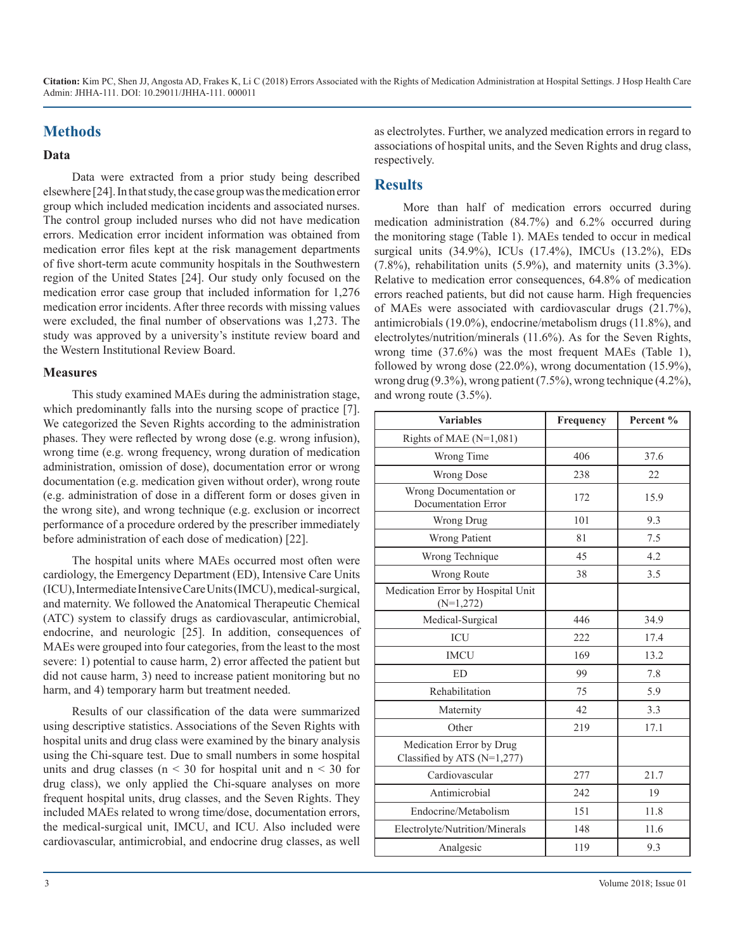# **Methods**

### **Data**

Data were extracted from a prior study being described elsewhere [24]. In that study, the case group was the medication error group which included medication incidents and associated nurses. The control group included nurses who did not have medication errors. Medication error incident information was obtained from medication error files kept at the risk management departments of five short-term acute community hospitals in the Southwestern region of the United States [24]. Our study only focused on the medication error case group that included information for 1,276 medication error incidents. After three records with missing values were excluded, the final number of observations was 1,273. The study was approved by a university's institute review board and the Western Institutional Review Board.

#### **Measures**

This study examined MAEs during the administration stage, which predominantly falls into the nursing scope of practice [7]. We categorized the Seven Rights according to the administration phases. They were reflected by wrong dose (e.g. wrong infusion), wrong time (e.g. wrong frequency, wrong duration of medication administration, omission of dose), documentation error or wrong documentation (e.g. medication given without order), wrong route (e.g. administration of dose in a different form or doses given in the wrong site), and wrong technique (e.g. exclusion or incorrect performance of a procedure ordered by the prescriber immediately before administration of each dose of medication) [22].

The hospital units where MAEs occurred most often were cardiology, the Emergency Department (ED), Intensive Care Units (ICU), Intermediate Intensive Care Units (IMCU), medical-surgical, and maternity. We followed the Anatomical Therapeutic Chemical (ATC) system to classify drugs as cardiovascular, antimicrobial, endocrine, and neurologic [25]. In addition, consequences of MAEs were grouped into four categories, from the least to the most severe: 1) potential to cause harm, 2) error affected the patient but did not cause harm, 3) need to increase patient monitoring but no harm, and 4) temporary harm but treatment needed.

Results of our classification of the data were summarized using descriptive statistics. Associations of the Seven Rights with hospital units and drug class were examined by the binary analysis using the Chi-square test. Due to small numbers in some hospital units and drug classes ( $n < 30$  for hospital unit and  $n < 30$  for drug class), we only applied the Chi-square analyses on more frequent hospital units, drug classes, and the Seven Rights. They included MAEs related to wrong time/dose, documentation errors, the medical-surgical unit, IMCU, and ICU. Also included were cardiovascular, antimicrobial, and endocrine drug classes, as well

as electrolytes. Further, we analyzed medication errors in regard to associations of hospital units, and the Seven Rights and drug class, respectively.

# **Results**

More than half of medication errors occurred during medication administration (84.7%) and 6.2% occurred during the monitoring stage (Table 1). MAEs tended to occur in medical surgical units (34.9%), ICUs (17.4%), IMCUs (13.2%), EDs (7.8%), rehabilitation units (5.9%), and maternity units (3.3%). Relative to medication error consequences, 64.8% of medication errors reached patients, but did not cause harm. High frequencies of MAEs were associated with cardiovascular drugs (21.7%), antimicrobials (19.0%), endocrine/metabolism drugs (11.8%), and electrolytes/nutrition/minerals (11.6%). As for the Seven Rights, wrong time (37.6%) was the most frequent MAEs (Table 1), followed by wrong dose (22.0%), wrong documentation (15.9%), wrong drug (9.3%), wrong patient (7.5%), wrong technique (4.2%), and wrong route (3.5%).

| <b>Variables</b>                                        | Frequency | Percent % |
|---------------------------------------------------------|-----------|-----------|
| Rights of MAE $(N=1,081)$                               |           |           |
| Wrong Time                                              | 406       | 37.6      |
| <b>Wrong Dose</b>                                       | 238       | 22        |
| Wrong Documentation or<br>Documentation Error           | 172       | 15.9      |
| Wrong Drug                                              | 101       | 9.3       |
| <b>Wrong Patient</b>                                    | 81        | 7.5       |
| Wrong Technique                                         | 45        | 4.2       |
| Wrong Route                                             | 38        | 3.5       |
| Medication Error by Hospital Unit<br>$(N=1,272)$        |           |           |
| Medical-Surgical                                        | 446       | 34.9      |
| ICU                                                     | 222       | 17.4      |
| <b>IMCU</b>                                             | 169       | 13.2      |
| ED                                                      | 99        | 7.8       |
| Rehabilitation                                          | 75        | 5.9       |
| Maternity                                               | 42        | 3.3       |
| Other                                                   | 219       | 17.1      |
| Medication Error by Drug<br>Classified by ATS (N=1,277) |           |           |
| Cardiovascular                                          | 277       | 21.7      |
| Antimicrobial                                           | 242       | 19        |
| Endocrine/Metabolism                                    | 151       | 11.8      |
| Electrolyte/Nutrition/Minerals                          | 148       | 11.6      |
| Analgesic                                               | 119       | 9.3       |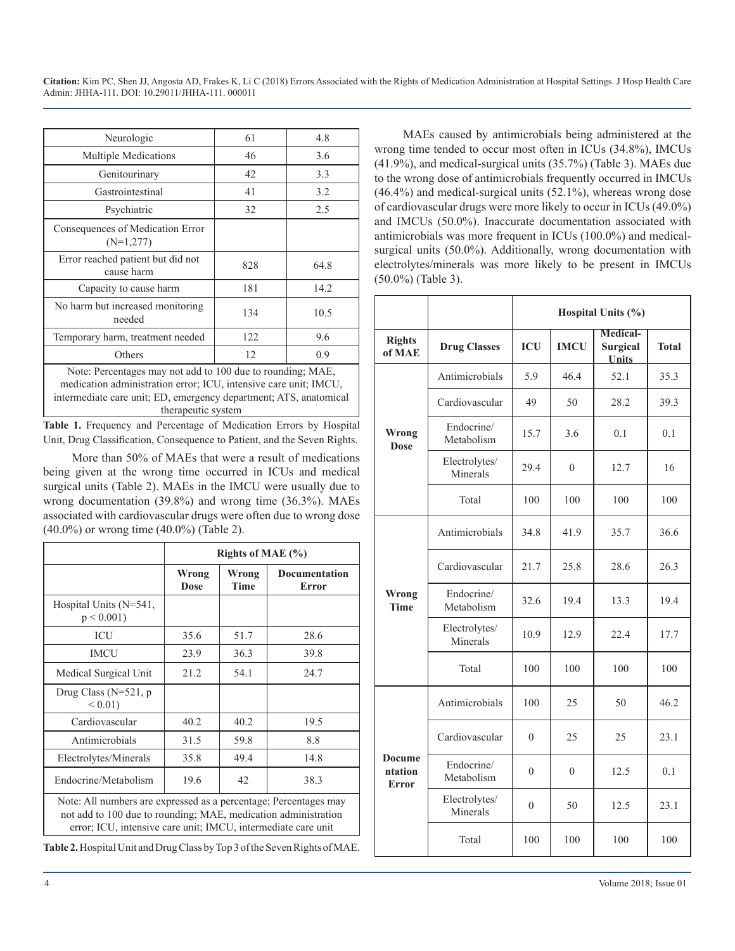| 61                                                                                                                                                                                                                        | 4.8  |  |  |
|---------------------------------------------------------------------------------------------------------------------------------------------------------------------------------------------------------------------------|------|--|--|
| 46                                                                                                                                                                                                                        | 3.6  |  |  |
| 42                                                                                                                                                                                                                        | 3.3  |  |  |
| 41                                                                                                                                                                                                                        | 3.2  |  |  |
| 32                                                                                                                                                                                                                        | 2.5  |  |  |
|                                                                                                                                                                                                                           |      |  |  |
| 828                                                                                                                                                                                                                       | 64.8 |  |  |
| 181                                                                                                                                                                                                                       | 14.2 |  |  |
| 134                                                                                                                                                                                                                       | 10.5 |  |  |
| 122                                                                                                                                                                                                                       | 9.6  |  |  |
| 12                                                                                                                                                                                                                        | 0.9  |  |  |
| Note: Percentages may not add to 100 due to rounding; MAE,<br>medication administration error; ICU, intensive care unit; IMCU,<br>intermediate care unit; ED, emergency department; ATS, anatomical<br>therapeutic system |      |  |  |
|                                                                                                                                                                                                                           |      |  |  |

**Table 1.** Frequency and Percentage of Medication Errors by Hospital Unit, Drug Classification, Consequence to Patient, and the Seven Rights.

More than 50% of MAEs that were a result of medications being given at the wrong time occurred in ICUs and medical surgical units (Table 2). MAEs in the IMCU were usually due to wrong documentation (39.8%) and wrong time (36.3%). MAEs associated with cardiovascular drugs were often due to wrong dose (40.0%) or wrong time (40.0%) (Table 2).

|                                                                                                                                                                                                     | Rights of MAE $(\% )$ |               |                                      |
|-----------------------------------------------------------------------------------------------------------------------------------------------------------------------------------------------------|-----------------------|---------------|--------------------------------------|
|                                                                                                                                                                                                     | Wrong<br><b>Dose</b>  | Wrong<br>Time | <b>Documentation</b><br><b>Error</b> |
| Hospital Units $(N=541,$<br>$p < 0.001$ )                                                                                                                                                           |                       |               |                                      |
| ICU                                                                                                                                                                                                 | 35.6                  | 51.7          | 28.6                                 |
| <b>IMCU</b>                                                                                                                                                                                         | 23.9                  | 36.3          | 39.8                                 |
| Medical Surgical Unit                                                                                                                                                                               | 21.2                  | 54.1          | 24.7                                 |
| Drug Class ( $N=521$ , p<br>${}_{0.01}$                                                                                                                                                             |                       |               |                                      |
| Cardiovascular                                                                                                                                                                                      | 40.2                  | 40.2          | 19.5                                 |
| Antimicrobials                                                                                                                                                                                      | 31.5                  | 59.8          | 8.8                                  |
| Electrolytes/Minerals                                                                                                                                                                               | 35.8                  | 49.4          | 14.8                                 |
| Endocrine/Metabolism                                                                                                                                                                                | 19.6                  | 42            | 38.3                                 |
| Note: All numbers are expressed as a percentage; Percentages may<br>not add to 100 due to rounding; MAE, medication administration<br>error; ICU, intensive care unit; IMCU, intermediate care unit |                       |               |                                      |

**Table 2.** Hospital Unit and Drug Class by Top 3 of the Seven Rights of MAE.

MAEs caused by antimicrobials being administered at the wrong time tended to occur most often in ICUs (34.8%), IMCUs (41.9%), and medical-surgical units (35.7%) (Table 3). MAEs due to the wrong dose of antimicrobials frequently occurred in IMCUs (46.4%) and medical-surgical units (52.1%), whereas wrong dose of cardiovascular drugs were more likely to occur in ICUs (49.0%) and IMCUs (50.0%). Inaccurate documentation associated with antimicrobials was more frequent in ICUs (100.0%) and medicalsurgical units (50.0%). Additionally, wrong documentation with electrolytes/minerals was more likely to be present in IMCUs (50.0%) (Table 3).

|                                          |                           | Hospital Units (%) |              |                                                    |              |
|------------------------------------------|---------------------------|--------------------|--------------|----------------------------------------------------|--------------|
| <b>Rights</b><br>of MAE                  | <b>Drug Classes</b>       | <b>ICU</b>         | <b>IMCU</b>  | <b>Medical-</b><br><b>Surgical</b><br><b>Units</b> | <b>Total</b> |
| <b>Wrong</b><br><b>Dose</b>              | Antimicrobials            | 5.9                | 46.4         | 52.1                                               | 35.3         |
|                                          | Cardiovascular            | 49                 | 50           | 28.2                                               | 39.3         |
|                                          | Endocrine/<br>Metabolism  | 15.7               | 3.6          | 0.1                                                | 0.1          |
|                                          | Electrolytes/<br>Minerals | 29.4               | $\theta$     | 12.7                                               | 16           |
|                                          | Total                     | 100                | 100          | 100                                                | 100          |
| Wrong<br><b>Time</b>                     | Antimicrobials            | 34.8               | 41.9         | 35.7                                               | 36.6         |
|                                          | Cardiovascular            | 21.7               | 25.8         | 28.6                                               | 26.3         |
|                                          | Endocrine/<br>Metabolism  | 32.6               | 19.4         | 13.3                                               | 19.4         |
|                                          | Electrolytes/<br>Minerals | 10.9               | 12.9         | 22.4                                               | 17.7         |
|                                          | Total                     | 100                | 100          | 100                                                | 100          |
| <b>Docume</b><br>ntation<br><b>Error</b> | Antimicrobials            | 100                | 25           | 50                                                 | 46.2         |
|                                          | Cardiovascular            | $\theta$           | 25           | 25                                                 | 23.1         |
|                                          | Endocrine/<br>Metabolism  | $\overline{0}$     | $\mathbf{0}$ | 12.5                                               | 0.1          |
|                                          | Electrolytes/<br>Minerals | $\theta$           | 50           | 12.5                                               | 23.1         |
|                                          | Total                     | 100                | 100          | 100                                                | 100          |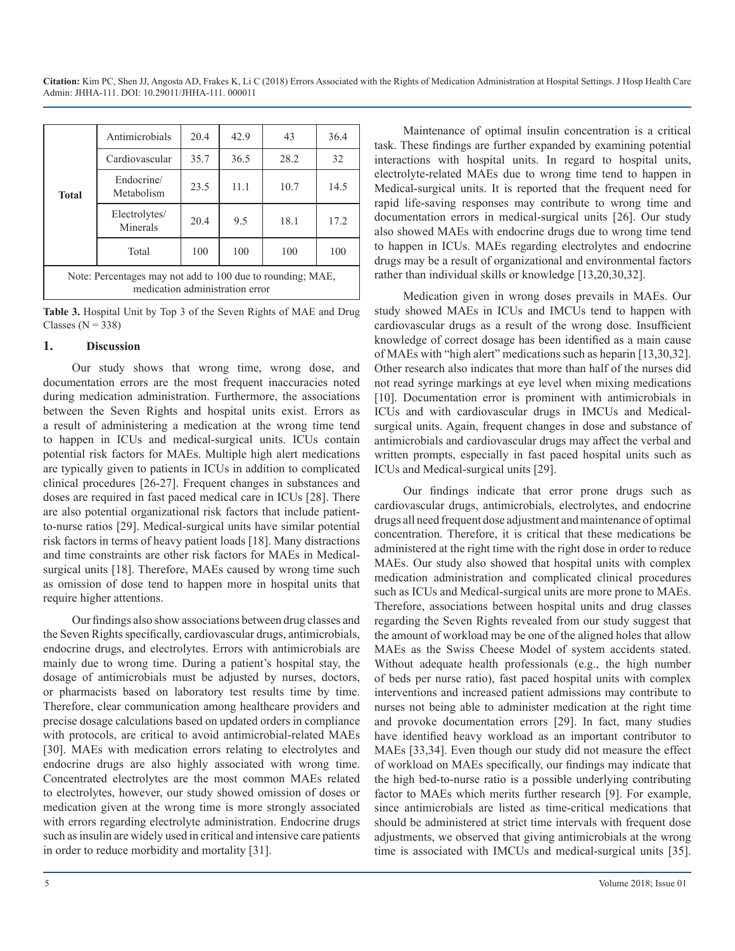| <b>Total</b>                                                                                  | Antimicrobials            | 20.4 | 42.9 | 43   | 36.4 |
|-----------------------------------------------------------------------------------------------|---------------------------|------|------|------|------|
|                                                                                               | Cardiovascular            | 35.7 | 36.5 | 28.2 | 32   |
|                                                                                               | Endocrine/<br>Metabolism  | 23.5 | 11.1 | 10.7 | 14.5 |
|                                                                                               | Electrolytes/<br>Minerals | 20.4 | 9.5  | 18.1 | 17.2 |
|                                                                                               | Total                     | 100  | 100  | 100  | 100  |
| Note: Percentages may not add to 100 due to rounding; MAE,<br>medication administration error |                           |      |      |      |      |

**Table 3.** Hospital Unit by Top 3 of the Seven Rights of MAE and Drug Classes ( $N = 338$ )

#### **1. Discussion**

Our study shows that wrong time, wrong dose, and documentation errors are the most frequent inaccuracies noted during medication administration. Furthermore, the associations between the Seven Rights and hospital units exist. Errors as a result of administering a medication at the wrong time tend to happen in ICUs and medical-surgical units. ICUs contain potential risk factors for MAEs. Multiple high alert medications are typically given to patients in ICUs in addition to complicated clinical procedures [26-27]. Frequent changes in substances and doses are required in fast paced medical care in ICUs [28]. There are also potential organizational risk factors that include patientto-nurse ratios [29]. Medical-surgical units have similar potential risk factors in terms of heavy patient loads [18]. Many distractions and time constraints are other risk factors for MAEs in Medicalsurgical units [18]. Therefore, MAEs caused by wrong time such as omission of dose tend to happen more in hospital units that require higher attentions.

Our findings also show associations between drug classes and the Seven Rights specifically, cardiovascular drugs, antimicrobials, endocrine drugs, and electrolytes. Errors with antimicrobials are mainly due to wrong time. During a patient's hospital stay, the dosage of antimicrobials must be adjusted by nurses, doctors, or pharmacists based on laboratory test results time by time. Therefore, clear communication among healthcare providers and precise dosage calculations based on updated orders in compliance with protocols, are critical to avoid antimicrobial-related MAEs [30]. MAEs with medication errors relating to electrolytes and endocrine drugs are also highly associated with wrong time. Concentrated electrolytes are the most common MAEs related to electrolytes, however, our study showed omission of doses or medication given at the wrong time is more strongly associated with errors regarding electrolyte administration. Endocrine drugs such as insulin are widely used in critical and intensive care patients in order to reduce morbidity and mortality [31].

Maintenance of optimal insulin concentration is a critical task. These findings are further expanded by examining potential interactions with hospital units. In regard to hospital units, electrolyte-related MAEs due to wrong time tend to happen in Medical-surgical units. It is reported that the frequent need for rapid life-saving responses may contribute to wrong time and documentation errors in medical-surgical units [26]. Our study also showed MAEs with endocrine drugs due to wrong time tend to happen in ICUs. MAEs regarding electrolytes and endocrine drugs may be a result of organizational and environmental factors rather than individual skills or knowledge [13,20,30,32].

Medication given in wrong doses prevails in MAEs. Our study showed MAEs in ICUs and IMCUs tend to happen with cardiovascular drugs as a result of the wrong dose. Insufficient knowledge of correct dosage has been identified as a main cause of MAEs with "high alert" medications such as heparin [13,30,32]. Other research also indicates that more than half of the nurses did not read syringe markings at eye level when mixing medications [10]. Documentation error is prominent with antimicrobials in ICUs and with cardiovascular drugs in IMCUs and Medicalsurgical units. Again, frequent changes in dose and substance of antimicrobials and cardiovascular drugs may affect the verbal and written prompts, especially in fast paced hospital units such as ICUs and Medical-surgical units [29].

Our findings indicate that error prone drugs such as cardiovascular drugs, antimicrobials, electrolytes, and endocrine drugs all need frequent dose adjustment and maintenance of optimal concentration. Therefore, it is critical that these medications be administered at the right time with the right dose in order to reduce MAEs. Our study also showed that hospital units with complex medication administration and complicated clinical procedures such as ICUs and Medical-surgical units are more prone to MAEs. Therefore, associations between hospital units and drug classes regarding the Seven Rights revealed from our study suggest that the amount of workload may be one of the aligned holes that allow MAEs as the Swiss Cheese Model of system accidents stated. Without adequate health professionals (e.g., the high number of beds per nurse ratio), fast paced hospital units with complex interventions and increased patient admissions may contribute to nurses not being able to administer medication at the right time and provoke documentation errors [29]. In fact, many studies have identified heavy workload as an important contributor to MAEs [33,34]. Even though our study did not measure the effect of workload on MAEs specifically, our findings may indicate that the high bed-to-nurse ratio is a possible underlying contributing factor to MAEs which merits further research [9]. For example, since antimicrobials are listed as time-critical medications that should be administered at strict time intervals with frequent dose adjustments, we observed that giving antimicrobials at the wrong time is associated with IMCUs and medical-surgical units [35].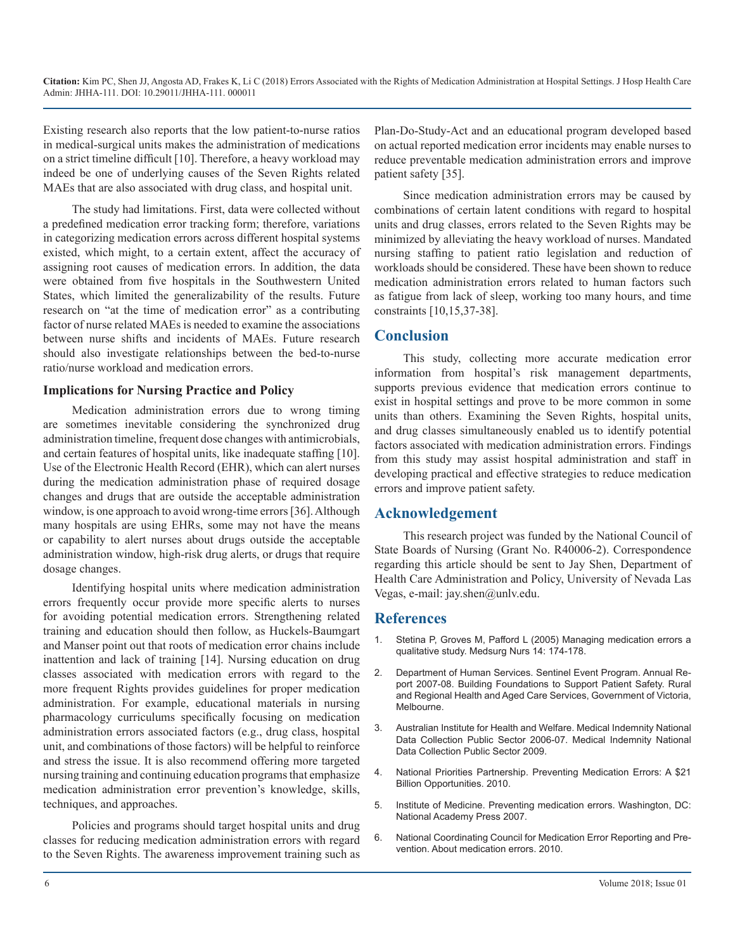Existing research also reports that the low patient-to-nurse ratios in medical-surgical units makes the administration of medications on a strict timeline difficult [10]. Therefore, a heavy workload may indeed be one of underlying causes of the Seven Rights related MAEs that are also associated with drug class, and hospital unit.

The study had limitations. First, data were collected without a predefined medication error tracking form; therefore, variations in categorizing medication errors across different hospital systems existed, which might, to a certain extent, affect the accuracy of assigning root causes of medication errors. In addition, the data were obtained from five hospitals in the Southwestern United States, which limited the generalizability of the results. Future research on "at the time of medication error" as a contributing factor of nurse related MAEs is needed to examine the associations between nurse shifts and incidents of MAEs. Future research should also investigate relationships between the bed-to-nurse ratio/nurse workload and medication errors.

### **Implications for Nursing Practice and Policy**

Medication administration errors due to wrong timing are sometimes inevitable considering the synchronized drug administration timeline, frequent dose changes with antimicrobials, and certain features of hospital units, like inadequate staffing [10]. Use of the Electronic Health Record (EHR), which can alert nurses during the medication administration phase of required dosage changes and drugs that are outside the acceptable administration window, is one approach to avoid wrong-time errors [36]. Although many hospitals are using EHRs, some may not have the means or capability to alert nurses about drugs outside the acceptable administration window, high-risk drug alerts, or drugs that require dosage changes.

Identifying hospital units where medication administration errors frequently occur provide more specific alerts to nurses for avoiding potential medication errors. Strengthening related training and education should then follow, as Huckels-Baumgart and Manser point out that roots of medication error chains include inattention and lack of training [14]. Nursing education on drug classes associated with medication errors with regard to the more frequent Rights provides guidelines for proper medication administration. For example, educational materials in nursing pharmacology curriculums specifically focusing on medication administration errors associated factors (e.g., drug class, hospital unit, and combinations of those factors) will be helpful to reinforce and stress the issue. It is also recommend offering more targeted nursing training and continuing education programs that emphasize medication administration error prevention's knowledge, skills, techniques, and approaches.

Policies and programs should target hospital units and drug classes for reducing medication administration errors with regard to the Seven Rights. The awareness improvement training such as

Plan-Do-Study-Act and an educational program developed based on actual reported medication error incidents may enable nurses to reduce preventable medication administration errors and improve patient safety [35].

Since medication administration errors may be caused by combinations of certain latent conditions with regard to hospital units and drug classes, errors related to the Seven Rights may be minimized by alleviating the heavy workload of nurses. Mandated nursing staffing to patient ratio legislation and reduction of workloads should be considered. These have been shown to reduce medication administration errors related to human factors such as fatigue from lack of sleep, working too many hours, and time constraints [10,15,37-38].

# **Conclusion**

This study, collecting more accurate medication error information from hospital's risk management departments, supports previous evidence that medication errors continue to exist in hospital settings and prove to be more common in some units than others. Examining the Seven Rights, hospital units, and drug classes simultaneously enabled us to identify potential factors associated with medication administration errors. Findings from this study may assist hospital administration and staff in developing practical and effective strategies to reduce medication errors and improve patient safety.

# **Acknowledgement**

This research project was funded by the National Council of State Boards of Nursing (Grant No. R40006-2). Correspondence regarding this article should be sent to Jay Shen, Department of Health Care Administration and Policy, University of Nevada Las Vegas, e-mail: [jay.shen@unlv.edu](mailto:jay.shen@unlv.edu).

# **References**

- 1. [Stetina P, Groves M, Pafford L \(2005\) Managing medication errors a](https://www.ncbi.nlm.nih.gov/pubmed/16035634)  qualitative study. Medsurg Nurs 14: 174-178.
- 2. [Department of Human Services. Sentinel Event Program. Annual Re](http://www.health.vic.gov.au/clinrisk/sentinel/index.htm.)port 2007-08. Building Foundations to Support Patient Safety. Rural [and Regional Health and Aged Care Services, Government of Victoria,](http://www.health.vic.gov.au/clinrisk/sentinel/index.htm.) [Melbourne.](http://www.health.vic.gov.au/clinrisk/sentinel/index.htm.)
- 3. Australian Institute for Health and Welfare. Medical Indemnity National Data Collection Public Sector 2006-07. Medical Indemnity National Data Collection Public Sector 2009.
- 4. [National Priorities Partnership. Preventing Medication Errors: A \\$21](https://www.google.com/url?sa=t&rct=j&q=&esrc=s&source=web&cd=2&ved=0ahUKEwissaPuieTSAhUX3WMKHSgIADMQFggnMAE&url=https%3A%2F%2Fwww.qualityforum.org%2FNPP%2Fdocs%2FPreventing_Medication_Error_CAB.aspx&usg=AFQjCNER6MEkhl8Zoa68duC1si5aLD9Hng&sig2=mqNHjA12EdfPbo_20o-ZpQ)  Billion Opportunities. 2010.
- 5. Institute of Medicine. Preventing medication errors. Washington, DC: National Academy Press 2007.
- 6. [National Coordinating Council for Medication Error Reporting and Pre](http://www.nccmerp.org/about-medication-errors)vention. About medication errors. 2010.